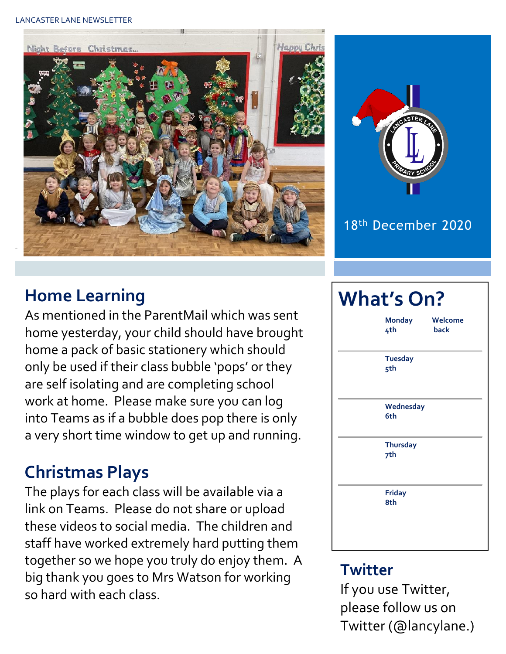#### LANCASTER LANE NEWSLETTER





#### 18th December 2020

### **Home Learning**

As mentioned in the ParentMail which was sent home yesterday, your child should have brought home a pack of basic stationery which should only be used if their class bubble 'pops' or they are self isolating and are completing school work at home. Please make sure you can log into Teams as if a bubble does pop there is only a very short time window to get up and running.

## **Christmas Plays**

The plays for each class will be available via a link on Teams. Please do not share or upload these videos to social media. The children and staff have worked extremely hard putting them together so we hope you truly do enjoy them. A big thank you goes to Mrs Watson for working so hard with each class.

# **What's On? Monday Welcome 4th back Tuesday 5th Wednesday 6th Thursday 7th Friday 8th**

#### **Twitter**

If you use Twitter, please follow us on Twitter (@lancylane.)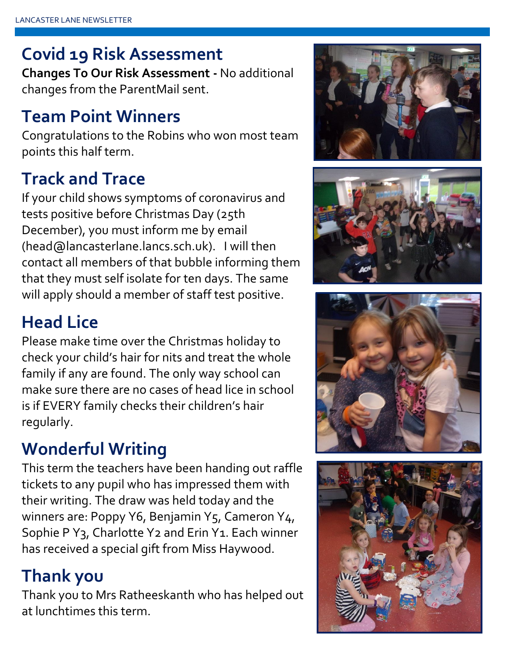## **Covid 19 Risk Assessment**

**Changes To Our Risk Assessment -** No additional changes from the ParentMail sent.

### **Team Point Winners**

Congratulations to the Robins who won most team points this half term.

## **Track and Trace**

If your child shows symptoms of coronavirus and tests positive before Christmas Day (25th December), you must inform me by email (head@lancasterlane.lancs.sch.uk). I will then contact all members of that bubble informing them that they must self isolate for ten days. The same will apply should a member of staff test positive.

## **Head Lice**

Please make time over the Christmas holiday to check your child's hair for nits and treat the whole family if any are found. The only way school can make sure there are no cases of head lice in school is if EVERY family checks their children's hair regularly.

## **Wonderful Writing**

This term the teachers have been handing out raffle tickets to any pupil who has impressed them with their writing. The draw was held today and the winners are: Poppy Y6, Benjamin Y5, Cameron Y4, Sophie P Y<sub>3</sub>, Charlotte Y<sub>2</sub> and Erin Y<sub>1</sub>. Each winner has received a special gift from Miss Haywood.

### **Thank you**

Thank you to Mrs Ratheeskanth who has helped out at lunchtimes this term.